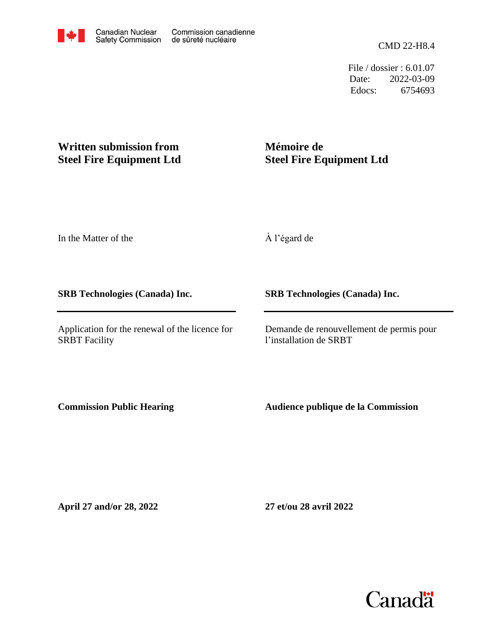CMD 22-H8.4

File / dossier : 6.01.07 Date: 2022-03-09 Edocs: 6754693

## **Written submission from Steel Fire Equipment Ltd**

## **Mémoire de Steel Fire Equipment Ltd**

In the Matter of the

**SRB Technologies (Canada) Inc.**

Application for the renewal of the licence for SRBT Facility

À l'égard de

**SRB Technologies (Canada) Inc.**

Demande de renouvellement de permis pour l'installation de SRBT

**Commission Public Hearing**

**Audience publique de la Commission**

**April 27 and/or 28, 2022**

**27 et/ou 28 avril 2022**